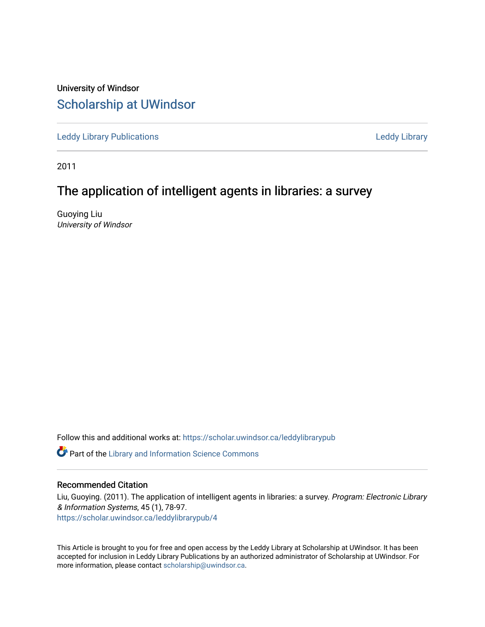University of Windsor [Scholarship at UWindsor](https://scholar.uwindsor.ca/) 

[Leddy Library Publications](https://scholar.uwindsor.ca/leddylibrarypub) [Leddy Library](https://scholar.uwindsor.ca/leddy) 

2011

# The application of intelligent agents in libraries: a survey

Guoying Liu University of Windsor

Follow this and additional works at: [https://scholar.uwindsor.ca/leddylibrarypub](https://scholar.uwindsor.ca/leddylibrarypub?utm_source=scholar.uwindsor.ca%2Fleddylibrarypub%2F4&utm_medium=PDF&utm_campaign=PDFCoverPages) 

**C** Part of the Library and Information Science Commons

#### Recommended Citation

Liu, Guoying. (2011). The application of intelligent agents in libraries: a survey. Program: Electronic Library & Information Systems, 45 (1), 78-97. [https://scholar.uwindsor.ca/leddylibrarypub/4](https://scholar.uwindsor.ca/leddylibrarypub/4?utm_source=scholar.uwindsor.ca%2Fleddylibrarypub%2F4&utm_medium=PDF&utm_campaign=PDFCoverPages)

This Article is brought to you for free and open access by the Leddy Library at Scholarship at UWindsor. It has been accepted for inclusion in Leddy Library Publications by an authorized administrator of Scholarship at UWindsor. For more information, please contact [scholarship@uwindsor.ca](mailto:scholarship@uwindsor.ca).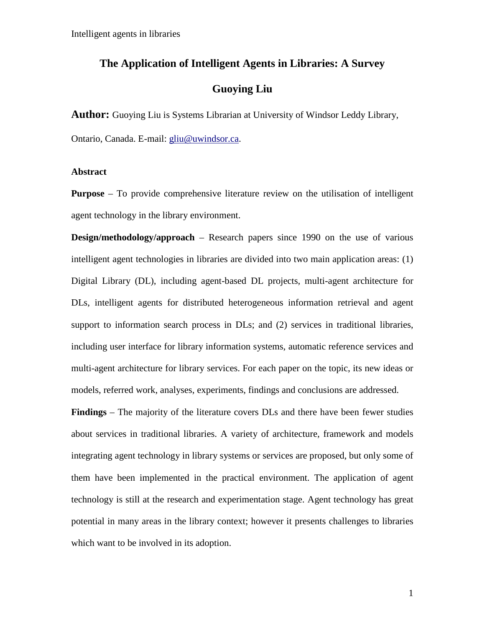# **The Application of Intelligent Agents in Libraries: A Survey**

# **Guoying Liu**

**Author:** Guoying Liu is Systems Librarian at University of Windsor Leddy Library,

Ontario, Canada. E-mail: [gliu@uwindsor.ca.](mailto:gliu@uwindsor.ca)

#### **Abstract**

**Purpose** – To provide comprehensive literature review on the utilisation of intelligent agent technology in the library environment.

**Design/methodology/approach** – Research papers since 1990 on the use of various intelligent agent technologies in libraries are divided into two main application areas: (1) Digital Library (DL), including agent-based DL projects, multi-agent architecture for DLs, intelligent agents for distributed heterogeneous information retrieval and agent support to information search process in DLs; and (2) services in traditional libraries, including user interface for library information systems, automatic reference services and multi-agent architecture for library services. For each paper on the topic, its new ideas or models, referred work, analyses, experiments, findings and conclusions are addressed.

**Findings** – The majority of the literature covers DLs and there have been fewer studies about services in traditional libraries. A variety of architecture, framework and models integrating agent technology in library systems or services are proposed, but only some of them have been implemented in the practical environment. The application of agent technology is still at the research and experimentation stage. Agent technology has great potential in many areas in the library context; however it presents challenges to libraries which want to be involved in its adoption.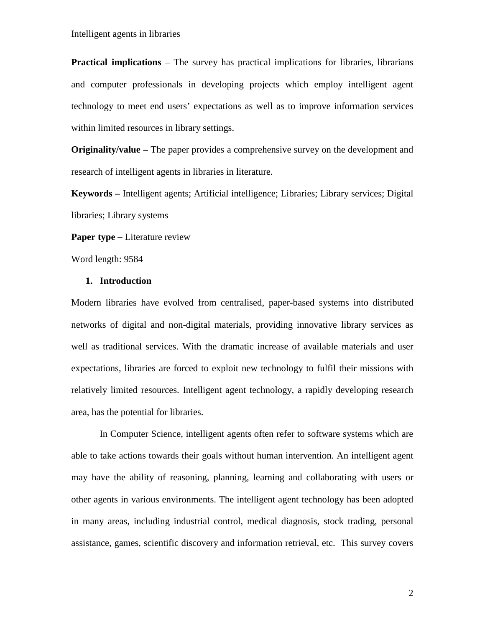**Practical implications** – The survey has practical implications for libraries, librarians and computer professionals in developing projects which employ intelligent agent technology to meet end users' expectations as well as to improve information services within limited resources in library settings.

**Originality/value –** The paper provides a comprehensive survey on the development and research of intelligent agents in libraries in literature.

**Keywords –** Intelligent agents; Artificial intelligence; Libraries; Library services; Digital libraries; Library systems

**Paper type –** Literature review

Word length: 9584

#### **1. Introduction**

Modern libraries have evolved from centralised, paper-based systems into distributed networks of digital and non-digital materials, providing innovative library services as well as traditional services. With the dramatic increase of available materials and user expectations, libraries are forced to exploit new technology to fulfil their missions with relatively limited resources. Intelligent agent technology, a rapidly developing research area, has the potential for libraries.

In Computer Science, intelligent agents often refer to software systems which are able to take actions towards their goals without human intervention. An intelligent agent may have the ability of reasoning, planning, learning and collaborating with users or other agents in various environments. The intelligent agent technology has been adopted in many areas, including industrial control, medical diagnosis, stock trading, personal assistance, games, scientific discovery and information retrieval, etc. This survey covers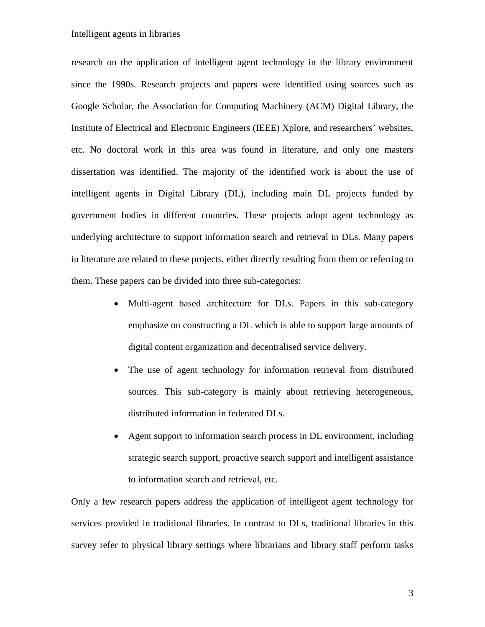research on the application of intelligent agent technology in the library environment since the 1990s. Research projects and papers were identified using sources such as Google Scholar, the Association for Computing Machinery (ACM) Digital Library, the Institute of Electrical and Electronic Engineers (IEEE) Xplore, and researchers' websites, etc. No doctoral work in this area was found in literature, and only one masters dissertation was identified. The majority of the identified work is about the use of intelligent agents in Digital Library (DL), including main DL projects funded by government bodies in different countries. These projects adopt agent technology as underlying architecture to support information search and retrieval in DLs. Many papers in literature are related to these projects, either directly resulting from them or referring to them. These papers can be divided into three sub-categories:

- Multi-agent based architecture for DLs. Papers in this sub-category emphasize on constructing a DL which is able to support large amounts of digital content organization and decentralised service delivery.
- The use of agent technology for information retrieval from distributed sources. This sub-category is mainly about retrieving heterogeneous, distributed information in federated DLs.
- Agent support to information search process in DL environment, including strategic search support, proactive search support and intelligent assistance to information search and retrieval, etc.

Only a few research papers address the application of intelligent agent technology for services provided in traditional libraries. In contrast to DLs, traditional libraries in this survey refer to physical library settings where librarians and library staff perform tasks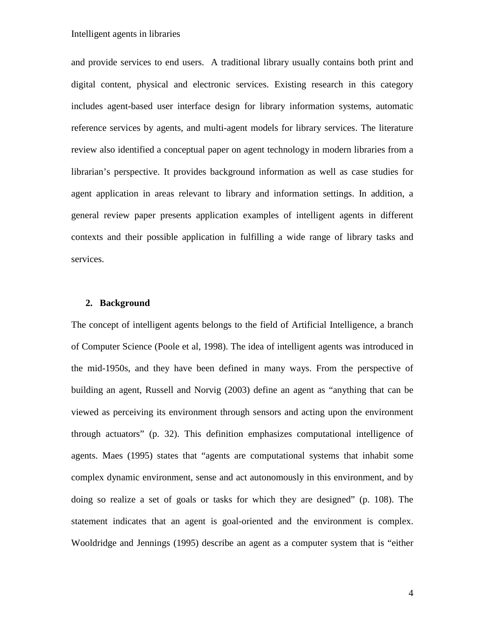and provide services to end users. A traditional library usually contains both print and digital content, physical and electronic services. Existing research in this category includes agent-based user interface design for library information systems, automatic reference services by agents, and multi-agent models for library services. The literature review also identified a conceptual paper on agent technology in modern libraries from a librarian's perspective. It provides background information as well as case studies for agent application in areas relevant to library and information settings. In addition, a general review paper presents application examples of intelligent agents in different contexts and their possible application in fulfilling a wide range of library tasks and services.

#### **2. Background**

The concept of intelligent agents belongs to the field of Artificial Intelligence, a branch of Computer Science (Poole et al, 1998). The idea of intelligent agents was introduced in the mid-1950s, and they have been defined in many ways. From the perspective of building an agent, Russell and Norvig (2003) define an agent as "anything that can be viewed as perceiving its environment through sensors and acting upon the environment through actuators" (p. 32). This definition emphasizes computational intelligence of agents. Maes (1995) states that "agents are computational systems that inhabit some complex dynamic environment, sense and act autonomously in this environment, and by doing so realize a set of goals or tasks for which they are designed" (p. 108). The statement indicates that an agent is goal-oriented and the environment is complex. Wooldridge and Jennings (1995) describe an agent as a computer system that is "either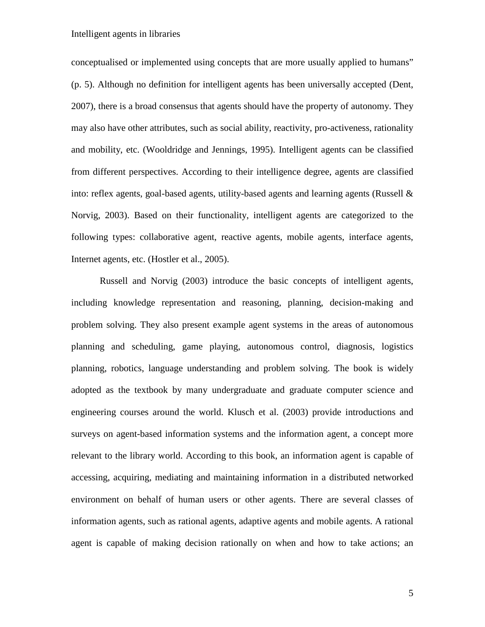conceptualised or implemented using concepts that are more usually applied to humans" (p. 5). Although no definition for intelligent agents has been universally accepted (Dent, 2007), there is a broad consensus that agents should have the property of autonomy. They may also have other attributes, such as social ability, reactivity, pro-activeness, rationality and mobility, etc. (Wooldridge and Jennings, 1995). Intelligent agents can be classified from different perspectives. According to their intelligence degree, agents are classified into: reflex agents, goal-based agents, utility-based agents and learning agents (Russell & Norvig, 2003). Based on their functionality, intelligent agents are categorized to the following types: collaborative agent, reactive agents, mobile agents, interface agents, Internet agents, etc. (Hostler et al., 2005).

Russell and Norvig (2003) introduce the basic concepts of intelligent agents, including knowledge representation and reasoning, planning, decision-making and problem solving. They also present example agent systems in the areas of autonomous planning and scheduling, game playing, autonomous control, diagnosis, logistics planning, robotics, language understanding and problem solving. The book is widely adopted as the textbook by many undergraduate and graduate computer science and engineering courses around the world. Klusch et al. (2003) provide introductions and surveys on agent-based information systems and the information agent, a concept more relevant to the library world. According to this book, an information agent is capable of accessing, acquiring, mediating and maintaining information in a distributed networked environment on behalf of human users or other agents. There are several classes of information agents, such as rational agents, adaptive agents and mobile agents. A rational agent is capable of making decision rationally on when and how to take actions; an

5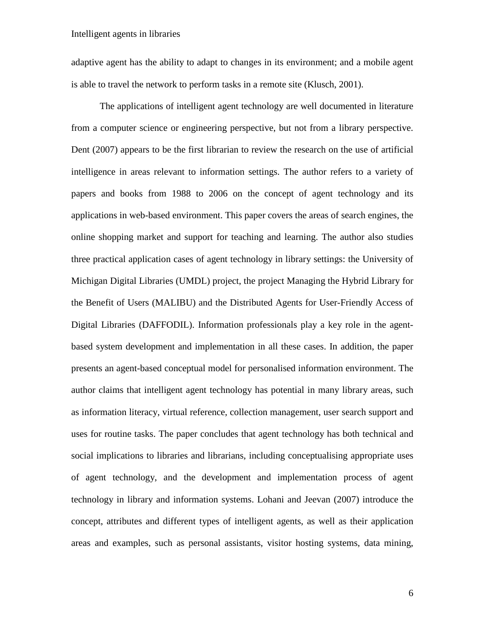adaptive agent has the ability to adapt to changes in its environment; and a mobile agent is able to travel the network to perform tasks in a remote site (Klusch, 2001).

The applications of intelligent agent technology are well documented in literature from a computer science or engineering perspective, but not from a library perspective. Dent (2007) appears to be the first librarian to review the research on the use of artificial intelligence in areas relevant to information settings. The author refers to a variety of papers and books from 1988 to 2006 on the concept of agent technology and its applications in web-based environment. This paper covers the areas of search engines, the online shopping market and support for teaching and learning. The author also studies three practical application cases of agent technology in library settings: the University of Michigan Digital Libraries (UMDL) project, the project Managing the Hybrid Library for the Benefit of Users (MALIBU) and the Distributed Agents for User-Friendly Access of Digital Libraries (DAFFODIL). Information professionals play a key role in the agentbased system development and implementation in all these cases. In addition, the paper presents an agent-based conceptual model for personalised information environment. The author claims that intelligent agent technology has potential in many library areas, such as information literacy, virtual reference, collection management, user search support and uses for routine tasks. The paper concludes that agent technology has both technical and social implications to libraries and librarians, including conceptualising appropriate uses of agent technology, and the development and implementation process of agent technology in library and information systems. Lohani and Jeevan (2007) introduce the concept, attributes and different types of intelligent agents, as well as their application areas and examples, such as personal assistants, visitor hosting systems, data mining,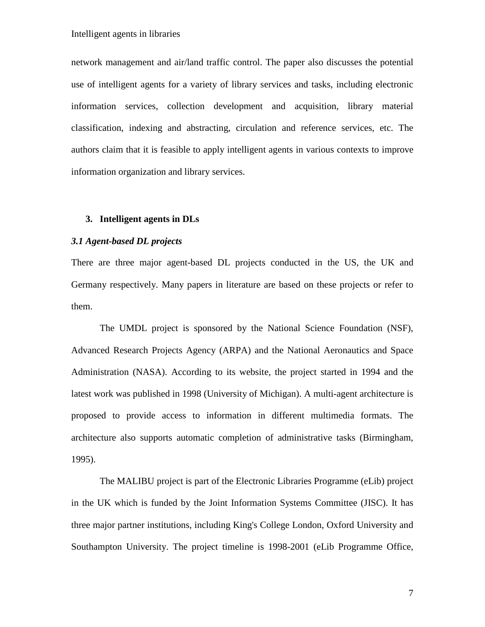network management and air/land traffic control. The paper also discusses the potential use of intelligent agents for a variety of library services and tasks, including electronic information services, collection development and acquisition, library material classification, indexing and abstracting, circulation and reference services, etc. The authors claim that it is feasible to apply intelligent agents in various contexts to improve information organization and library services.

#### **3. Intelligent agents in DLs**

### *3.1 Agent-based DL projects*

There are three major agent-based DL projects conducted in the US, the UK and Germany respectively. Many papers in literature are based on these projects or refer to them.

The UMDL project is sponsored by the National Science Foundation (NSF), Advanced Research Projects Agency (ARPA) and the National Aeronautics and Space Administration (NASA). According to its website, the project started in 1994 and the latest work was published in 1998 (University of Michigan). A multi-agent architecture is proposed to provide access to information in different multimedia formats. The architecture also supports automatic completion of administrative tasks (Birmingham, 1995).

The MALIBU project is part of the Electronic Libraries Programme (eLib) project in the UK which is funded by the Joint Information Systems Committee (JISC). It has three major partner institutions, including King's College London, Oxford University and Southampton University. The project timeline is 1998-2001 (eLib Programme Office,

7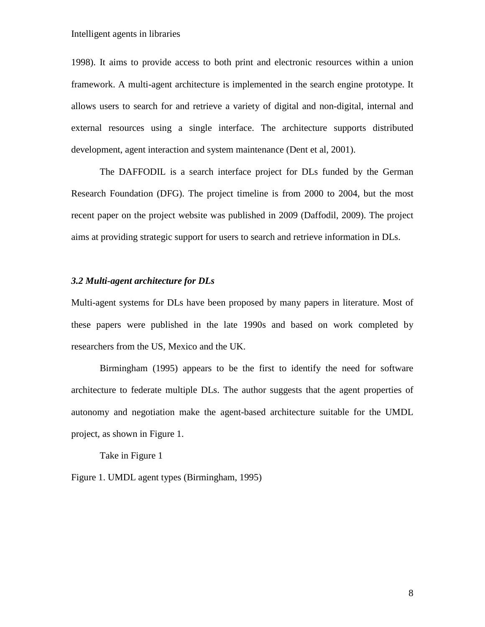1998). It aims to provide access to both print and electronic resources within a union framework. A multi-agent architecture is implemented in the search engine prototype. It allows users to search for and retrieve a variety of digital and non-digital, internal and external resources using a single interface. The architecture supports distributed development, agent interaction and system maintenance (Dent et al, 2001).

The DAFFODIL is a search interface project for DLs funded by the German Research Foundation (DFG). The project timeline is from 2000 to 2004, but the most recent paper on the project website was published in 2009 (Daffodil, 2009). The project aims at providing strategic support for users to search and retrieve information in DLs.

#### *3.2 Multi-agent architecture for DLs*

Multi-agent systems for DLs have been proposed by many papers in literature. Most of these papers were published in the late 1990s and based on work completed by researchers from the US, Mexico and the UK.

Birmingham (1995) appears to be the first to identify the need for software architecture to federate multiple DLs. The author suggests that the agent properties of autonomy and negotiation make the agent-based architecture suitable for the UMDL project, as shown in Figure 1.

Take in Figure 1

Figure 1. UMDL agent types (Birmingham, 1995)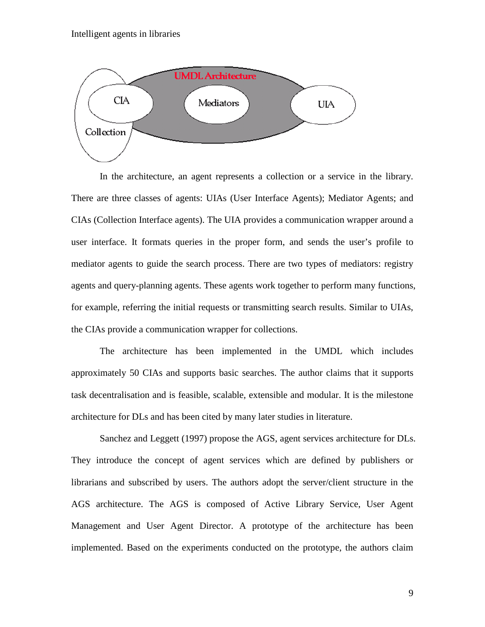

In the architecture, an agent represents a collection or a service in the library. There are three classes of agents: UIAs (User Interface Agents); Mediator Agents; and CIAs (Collection Interface agents). The UIA provides a communication wrapper around a user interface. It formats queries in the proper form, and sends the user's profile to mediator agents to guide the search process. There are two types of mediators: registry agents and query-planning agents. These agents work together to perform many functions, for example, referring the initial requests or transmitting search results. Similar to UIAs, the CIAs provide a communication wrapper for collections.

The architecture has been implemented in the UMDL which includes approximately 50 CIAs and supports basic searches. The author claims that it supports task decentralisation and is feasible, scalable, extensible and modular. It is the milestone architecture for DLs and has been cited by many later studies in literature.

Sanchez and Leggett (1997) propose the AGS, agent services architecture for DLs. They introduce the concept of agent services which are defined by publishers or librarians and subscribed by users. The authors adopt the server/client structure in the AGS architecture. The AGS is composed of Active Library Service, User Agent Management and User Agent Director. A prototype of the architecture has been implemented. Based on the experiments conducted on the prototype, the authors claim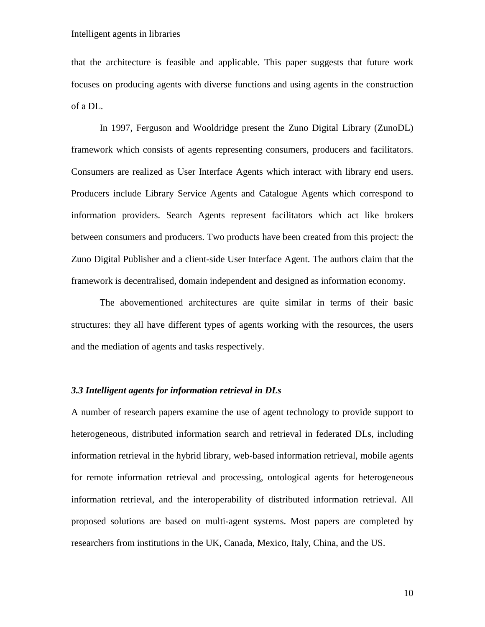that the architecture is feasible and applicable. This paper suggests that future work focuses on producing agents with diverse functions and using agents in the construction of a DL.

In 1997, Ferguson and Wooldridge present the Zuno Digital Library (ZunoDL) framework which consists of agents representing consumers, producers and facilitators. Consumers are realized as User Interface Agents which interact with library end users. Producers include Library Service Agents and Catalogue Agents which correspond to information providers. Search Agents represent facilitators which act like brokers between consumers and producers. Two products have been created from this project: the Zuno Digital Publisher and a client-side User Interface Agent. The authors claim that the framework is decentralised, domain independent and designed as information economy.

The abovementioned architectures are quite similar in terms of their basic structures: they all have different types of agents working with the resources, the users and the mediation of agents and tasks respectively.

## *3.3 Intelligent agents for information retrieval in DLs*

A number of research papers examine the use of agent technology to provide support to heterogeneous, distributed information search and retrieval in federated DLs, including information retrieval in the hybrid library, web-based information retrieval, mobile agents for remote information retrieval and processing, ontological agents for heterogeneous information retrieval, and the interoperability of distributed information retrieval. All proposed solutions are based on multi-agent systems. Most papers are completed by researchers from institutions in the UK, Canada, Mexico, Italy, China, and the US.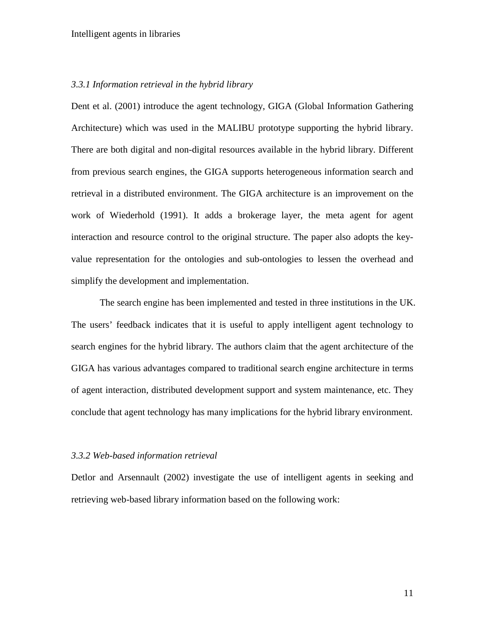#### *3.3.1 Information retrieval in the hybrid library*

Dent et al. (2001) introduce the agent technology, GIGA (Global Information Gathering Architecture) which was used in the MALIBU prototype supporting the hybrid library. There are both digital and non-digital resources available in the hybrid library. Different from previous search engines, the GIGA supports heterogeneous information search and retrieval in a distributed environment. The GIGA architecture is an improvement on the work of Wiederhold (1991). It adds a brokerage layer, the meta agent for agent interaction and resource control to the original structure. The paper also adopts the keyvalue representation for the ontologies and sub-ontologies to lessen the overhead and simplify the development and implementation.

The search engine has been implemented and tested in three institutions in the UK. The users' feedback indicates that it is useful to apply intelligent agent technology to search engines for the hybrid library. The authors claim that the agent architecture of the GIGA has various advantages compared to traditional search engine architecture in terms of agent interaction, distributed development support and system maintenance, etc. They conclude that agent technology has many implications for the hybrid library environment.

#### *3.3.2 Web-based information retrieval*

Detlor and Arsennault (2002) investigate the use of intelligent agents in seeking and retrieving web-based library information based on the following work: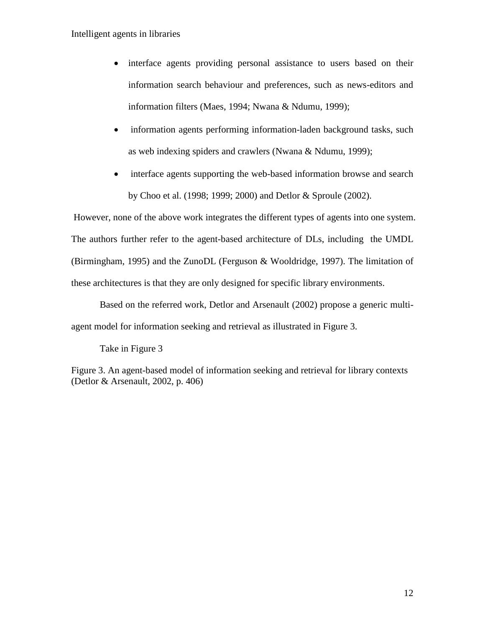- interface agents providing personal assistance to users based on their information search behaviour and preferences, such as news-editors and information filters (Maes, 1994; Nwana & Ndumu, 1999);
- information agents performing information-laden background tasks, such as web indexing spiders and crawlers (Nwana & Ndumu, 1999);
- interface agents supporting the web-based information browse and search by Choo et al. (1998; 1999; 2000) and Detlor & Sproule (2002).

However, none of the above work integrates the different types of agents into one system. The authors further refer to the agent-based architecture of DLs, including the UMDL (Birmingham, 1995) and the ZunoDL (Ferguson & Wooldridge, 1997). The limitation of these architectures is that they are only designed for specific library environments.

Based on the referred work, Detlor and Arsenault (2002) propose a generic multiagent model for information seeking and retrieval as illustrated in Figure 3.

Take in Figure 3

Figure 3. An agent-based model of information seeking and retrieval for library contexts (Detlor & Arsenault, 2002, p. 406)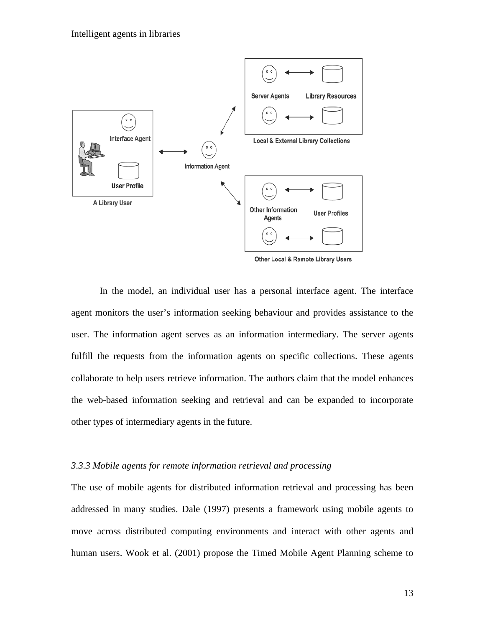

Other Local & Remote Library Users

In the model, an individual user has a personal interface agent. The interface agent monitors the user's information seeking behaviour and provides assistance to the user. The information agent serves as an information intermediary. The server agents fulfill the requests from the information agents on specific collections. These agents collaborate to help users retrieve information. The authors claim that the model enhances the web-based information seeking and retrieval and can be expanded to incorporate other types of intermediary agents in the future.

## *3.3.3 Mobile agents for remote information retrieval and processing*

The use of mobile agents for distributed information retrieval and processing has been addressed in many studies. Dale (1997) presents a framework using mobile agents to move across distributed computing environments and interact with other agents and human users. Wook et al. (2001) propose the Timed Mobile Agent Planning scheme to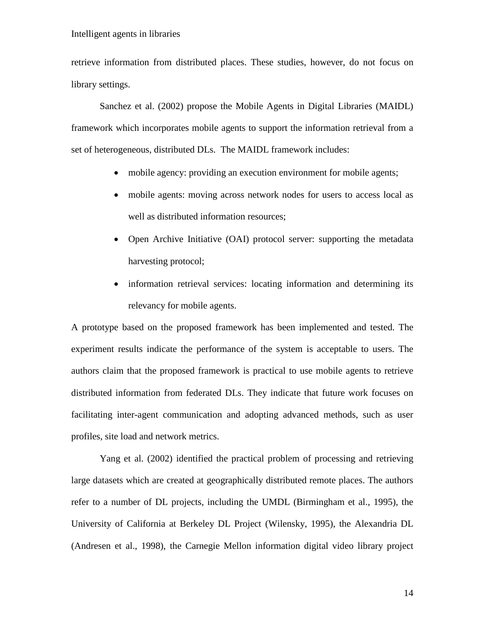retrieve information from distributed places. These studies, however, do not focus on library settings.

Sanchez et al. (2002) propose the Mobile Agents in Digital Libraries (MAIDL) framework which incorporates mobile agents to support the information retrieval from a set of heterogeneous, distributed DLs. The MAIDL framework includes:

- mobile agency: providing an execution environment for mobile agents;
- mobile agents: moving across network nodes for users to access local as well as distributed information resources;
- Open Archive Initiative (OAI) protocol server: supporting the metadata harvesting protocol;
- information retrieval services: locating information and determining its relevancy for mobile agents.

A prototype based on the proposed framework has been implemented and tested. The experiment results indicate the performance of the system is acceptable to users. The authors claim that the proposed framework is practical to use mobile agents to retrieve distributed information from federated DLs. They indicate that future work focuses on facilitating inter-agent communication and adopting advanced methods, such as user profiles, site load and network metrics.

Yang et al. (2002) identified the practical problem of processing and retrieving large datasets which are created at geographically distributed remote places. The authors refer to a number of DL projects, including the UMDL (Birmingham et al., 1995), the University of California at Berkeley DL Project (Wilensky, 1995), the Alexandria DL (Andresen et al., 1998), the Carnegie Mellon information digital video library project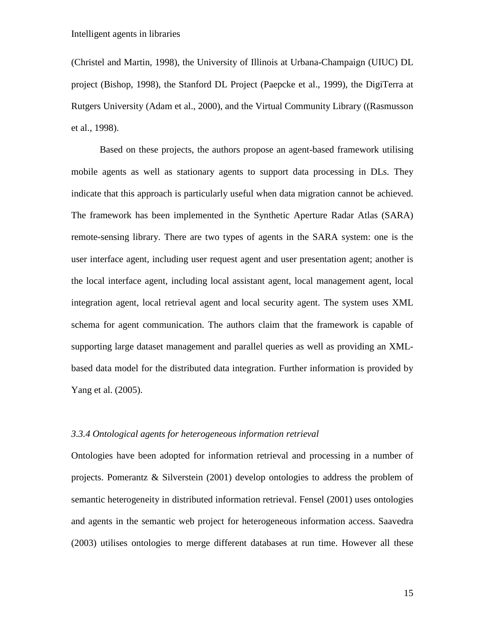(Christel and Martin, 1998), the University of Illinois at Urbana-Champaign (UIUC) DL project (Bishop, 1998), the Stanford DL Project (Paepcke et al., 1999), the DigiTerra at Rutgers University (Adam et al., 2000), and the Virtual Community Library ((Rasmusson et al., 1998).

Based on these projects, the authors propose an agent-based framework utilising mobile agents as well as stationary agents to support data processing in DLs. They indicate that this approach is particularly useful when data migration cannot be achieved. The framework has been implemented in the Synthetic Aperture Radar Atlas (SARA) remote-sensing library. There are two types of agents in the SARA system: one is the user interface agent, including user request agent and user presentation agent; another is the local interface agent, including local assistant agent, local management agent, local integration agent, local retrieval agent and local security agent. The system uses XML schema for agent communication. The authors claim that the framework is capable of supporting large dataset management and parallel queries as well as providing an XMLbased data model for the distributed data integration. Further information is provided by Yang et al. (2005).

#### *3.3.4 Ontological agents for heterogeneous information retrieval*

Ontologies have been adopted for information retrieval and processing in a number of projects. Pomerantz & Silverstein (2001) develop ontologies to address the problem of semantic heterogeneity in distributed information retrieval. Fensel (2001) uses ontologies and agents in the semantic web project for heterogeneous information access. Saavedra (2003) utilises ontologies to merge different databases at run time. However all these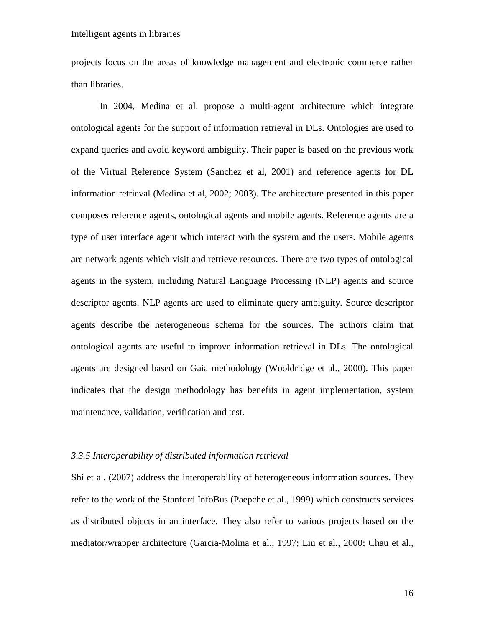projects focus on the areas of knowledge management and electronic commerce rather than libraries.

In 2004, Medina et al. propose a multi-agent architecture which integrate ontological agents for the support of information retrieval in DLs. Ontologies are used to expand queries and avoid keyword ambiguity. Their paper is based on the previous work of the Virtual Reference System (Sanchez et al, 2001) and reference agents for DL information retrieval (Medina et al, 2002; 2003). The architecture presented in this paper composes reference agents, ontological agents and mobile agents. Reference agents are a type of user interface agent which interact with the system and the users. Mobile agents are network agents which visit and retrieve resources. There are two types of ontological agents in the system, including Natural Language Processing (NLP) agents and source descriptor agents. NLP agents are used to eliminate query ambiguity. Source descriptor agents describe the heterogeneous schema for the sources. The authors claim that ontological agents are useful to improve information retrieval in DLs. The ontological agents are designed based on Gaia methodology (Wooldridge et al., 2000). This paper indicates that the design methodology has benefits in agent implementation, system maintenance, validation, verification and test.

#### *3.3.5 Interoperability of distributed information retrieval*

Shi et al. (2007) address the interoperability of heterogeneous information sources. They refer to the work of the Stanford InfoBus (Paepche et al., 1999) which constructs services as distributed objects in an interface. They also refer to various projects based on the mediator/wrapper architecture (Garcia-Molina et al., 1997; Liu et al., 2000; Chau et al.,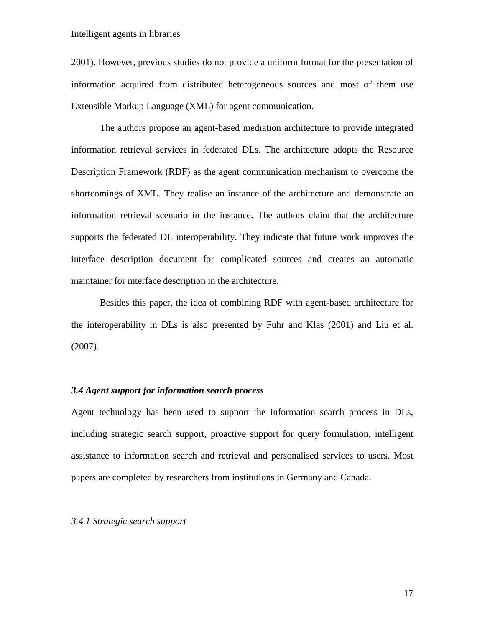2001). However, previous studies do not provide a uniform format for the presentation of information acquired from distributed heterogeneous sources and most of them use Extensible Markup Language (XML) for agent communication.

The authors propose an agent-based mediation architecture to provide integrated information retrieval services in federated DLs. The architecture adopts the Resource Description Framework (RDF) as the agent communication mechanism to overcome the shortcomings of XML. They realise an instance of the architecture and demonstrate an information retrieval scenario in the instance. The authors claim that the architecture supports the federated DL interoperability. They indicate that future work improves the interface description document for complicated sources and creates an automatic maintainer for interface description in the architecture.

Besides this paper, the idea of combining RDF with agent-based architecture for the interoperability in DLs is also presented by Fuhr and Klas (2001) and Liu et al. (2007).

### *3.4 Agent support for information search process*

Agent technology has been used to support the information search process in DLs, including strategic search support, proactive support for query formulation, intelligent assistance to information search and retrieval and personalised services to users. Most papers are completed by researchers from institutions in Germany and Canada.

#### *3.4.1 Strategic search support*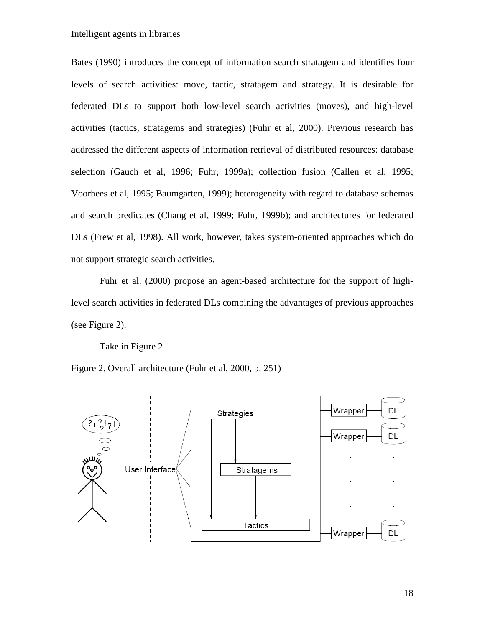Bates (1990) introduces the concept of information search stratagem and identifies four levels of search activities: move, tactic, stratagem and strategy. It is desirable for federated DLs to support both low-level search activities (moves), and high-level activities (tactics, stratagems and strategies) (Fuhr et al, 2000). Previous research has addressed the different aspects of information retrieval of distributed resources: database selection (Gauch et al, 1996; Fuhr, 1999a); collection fusion (Callen et al, 1995; Voorhees et al, 1995; Baumgarten, 1999); heterogeneity with regard to database schemas and search predicates (Chang et al, 1999; Fuhr, 1999b); and architectures for federated DLs (Frew et al, 1998). All work, however, takes system-oriented approaches which do not support strategic search activities.

Fuhr et al. (2000) propose an agent-based architecture for the support of highlevel search activities in federated DLs combining the advantages of previous approaches (see Figure 2).

Take in Figure 2

Figure 2. Overall architecture (Fuhr et al, 2000, p. 251)

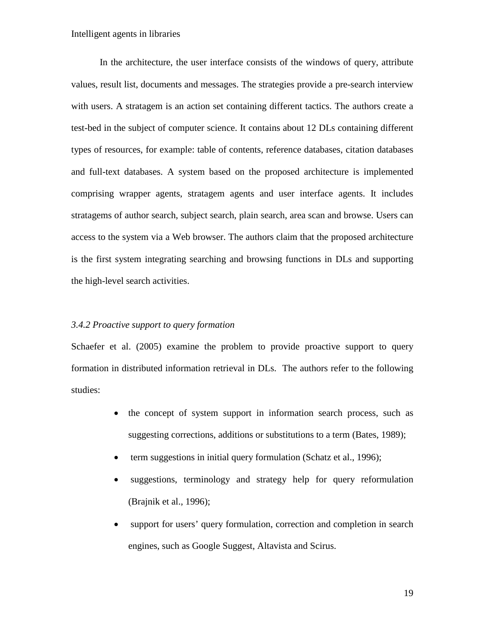In the architecture, the user interface consists of the windows of query, attribute values, result list, documents and messages. The strategies provide a pre-search interview with users. A stratagem is an action set containing different tactics. The authors create a test-bed in the subject of computer science. It contains about 12 DLs containing different types of resources, for example: table of contents, reference databases, citation databases and full-text databases. A system based on the proposed architecture is implemented comprising wrapper agents, stratagem agents and user interface agents. It includes stratagems of author search, subject search, plain search, area scan and browse. Users can access to the system via a Web browser. The authors claim that the proposed architecture is the first system integrating searching and browsing functions in DLs and supporting the high-level search activities.

#### *3.4.2 Proactive support to query formation*

Schaefer et al. (2005) examine the problem to provide proactive support to query formation in distributed information retrieval in DLs. The authors refer to the following studies:

- the concept of system support in information search process, such as suggesting corrections, additions or substitutions to a term (Bates, 1989);
- term suggestions in initial query formulation (Schatz et al., 1996);
- suggestions, terminology and strategy help for query reformulation (Brajnik et al., 1996);
- support for users' query formulation, correction and completion in search engines, such as Google Suggest, Altavista and Scirus.

19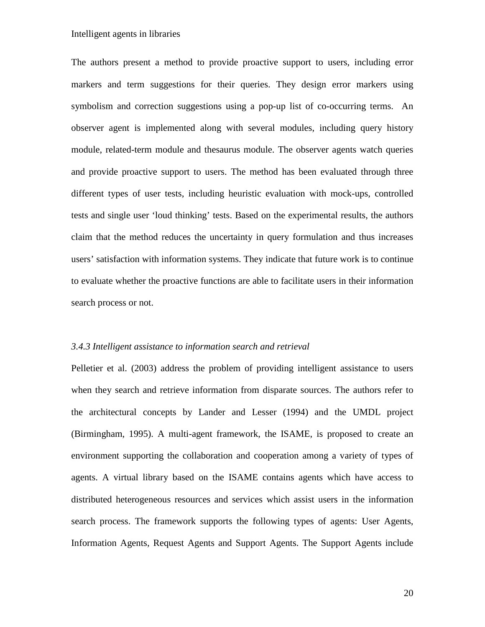The authors present a method to provide proactive support to users, including error markers and term suggestions for their queries. They design error markers using symbolism and correction suggestions using a pop-up list of co-occurring terms. An observer agent is implemented along with several modules, including query history module, related-term module and thesaurus module. The observer agents watch queries and provide proactive support to users. The method has been evaluated through three different types of user tests, including heuristic evaluation with mock-ups, controlled tests and single user 'loud thinking' tests. Based on the experimental results, the authors claim that the method reduces the uncertainty in query formulation and thus increases users' satisfaction with information systems. They indicate that future work is to continue to evaluate whether the proactive functions are able to facilitate users in their information search process or not.

#### *3.4.3 Intelligent assistance to information search and retrieval*

Pelletier et al. (2003) address the problem of providing intelligent assistance to users when they search and retrieve information from disparate sources. The authors refer to the architectural concepts by Lander and Lesser (1994) and the UMDL project (Birmingham, 1995). A multi-agent framework, the ISAME, is proposed to create an environment supporting the collaboration and cooperation among a variety of types of agents. A virtual library based on the ISAME contains agents which have access to distributed heterogeneous resources and services which assist users in the information search process. The framework supports the following types of agents: User Agents, Information Agents, Request Agents and Support Agents. The Support Agents include

20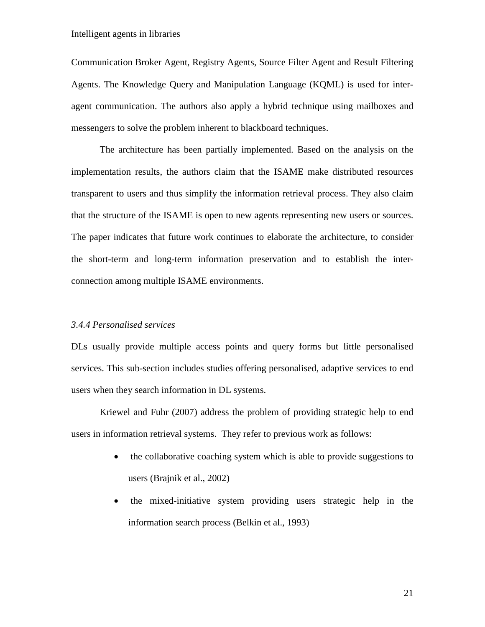Communication Broker Agent, Registry Agents, Source Filter Agent and Result Filtering Agents. The Knowledge Query and Manipulation Language (KQML) is used for interagent communication. The authors also apply a hybrid technique using mailboxes and messengers to solve the problem inherent to blackboard techniques.

The architecture has been partially implemented. Based on the analysis on the implementation results, the authors claim that the ISAME make distributed resources transparent to users and thus simplify the information retrieval process. They also claim that the structure of the ISAME is open to new agents representing new users or sources. The paper indicates that future work continues to elaborate the architecture, to consider the short-term and long-term information preservation and to establish the interconnection among multiple ISAME environments.

#### *3.4.4 Personalised services*

DLs usually provide multiple access points and query forms but little personalised services. This sub-section includes studies offering personalised, adaptive services to end users when they search information in DL systems.

Kriewel and Fuhr (2007) address the problem of providing strategic help to end users in information retrieval systems. They refer to previous work as follows:

- the collaborative coaching system which is able to provide suggestions to users (Brajnik et al., 2002)
- the mixed-initiative system providing users strategic help in the information search process (Belkin et al., 1993)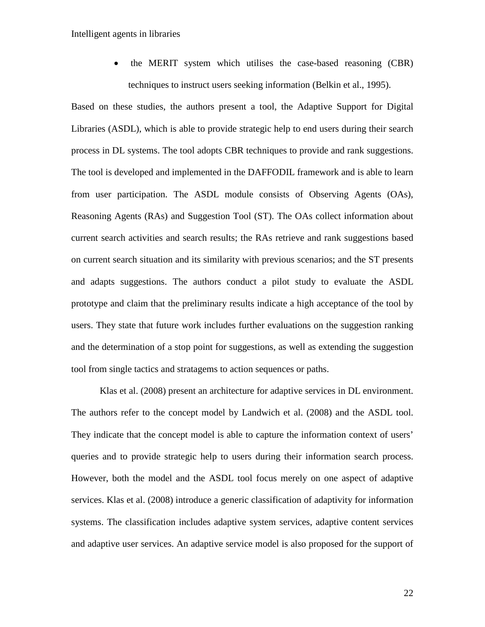• the MERIT system which utilises the case-based reasoning (CBR) techniques to instruct users seeking information (Belkin et al., 1995).

Based on these studies, the authors present a tool, the Adaptive Support for Digital Libraries (ASDL), which is able to provide strategic help to end users during their search process in DL systems. The tool adopts CBR techniques to provide and rank suggestions. The tool is developed and implemented in the DAFFODIL framework and is able to learn from user participation. The ASDL module consists of Observing Agents (OAs), Reasoning Agents (RAs) and Suggestion Tool (ST). The OAs collect information about current search activities and search results; the RAs retrieve and rank suggestions based on current search situation and its similarity with previous scenarios; and the ST presents and adapts suggestions. The authors conduct a pilot study to evaluate the ASDL prototype and claim that the preliminary results indicate a high acceptance of the tool by users. They state that future work includes further evaluations on the suggestion ranking and the determination of a stop point for suggestions, as well as extending the suggestion tool from single tactics and stratagems to action sequences or paths.

Klas et al. (2008) present an architecture for adaptive services in DL environment. The authors refer to the concept model by Landwich et al. (2008) and the ASDL tool. They indicate that the concept model is able to capture the information context of users' queries and to provide strategic help to users during their information search process. However, both the model and the ASDL tool focus merely on one aspect of adaptive services. Klas et al. (2008) introduce a generic classification of adaptivity for information systems. The classification includes adaptive system services, adaptive content services and adaptive user services. An adaptive service model is also proposed for the support of

22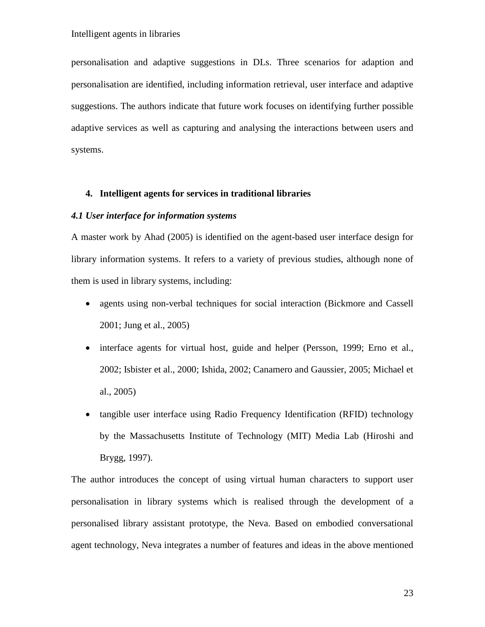personalisation and adaptive suggestions in DLs. Three scenarios for adaption and personalisation are identified, including information retrieval, user interface and adaptive suggestions. The authors indicate that future work focuses on identifying further possible adaptive services as well as capturing and analysing the interactions between users and systems.

## **4. Intelligent agents for services in traditional libraries**

#### *4.1 User interface for information systems*

A master work by Ahad (2005) is identified on the agent-based user interface design for library information systems. It refers to a variety of previous studies, although none of them is used in library systems, including:

- agents using non-verbal techniques for social interaction (Bickmore and Cassell 2001; Jung et al., 2005)
- interface agents for virtual host, guide and helper (Persson, 1999; Erno et al., 2002; Isbister et al., 2000; Ishida, 2002; Canamero and Gaussier, 2005; Michael et al., 2005)
- tangible user interface using Radio Frequency Identification (RFID) technology by the Massachusetts Institute of Technology (MIT) Media Lab (Hiroshi and Brygg, 1997).

The author introduces the concept of using virtual human characters to support user personalisation in library systems which is realised through the development of a personalised library assistant prototype, the Neva. Based on embodied conversational agent technology, Neva integrates a number of features and ideas in the above mentioned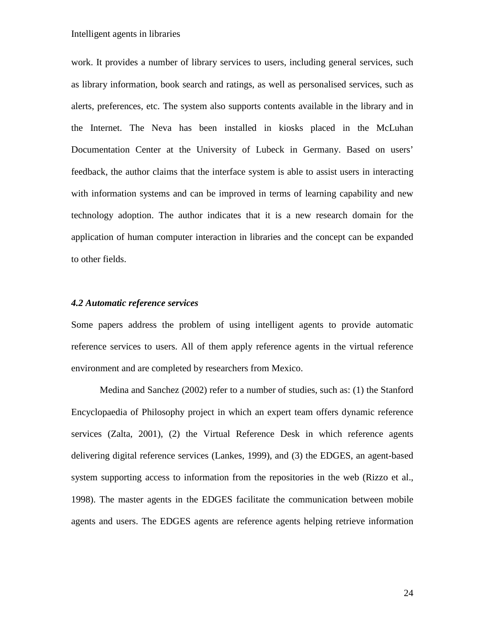work. It provides a number of library services to users, including general services, such as library information, book search and ratings, as well as personalised services, such as alerts, preferences, etc. The system also supports contents available in the library and in the Internet. The Neva has been installed in kiosks placed in the McLuhan Documentation Center at the University of Lubeck in Germany. Based on users' feedback, the author claims that the interface system is able to assist users in interacting with information systems and can be improved in terms of learning capability and new technology adoption. The author indicates that it is a new research domain for the application of human computer interaction in libraries and the concept can be expanded to other fields.

#### *4.2 Automatic reference services*

Some papers address the problem of using intelligent agents to provide automatic reference services to users. All of them apply reference agents in the virtual reference environment and are completed by researchers from Mexico.

Medina and Sanchez (2002) refer to a number of studies, such as: (1) the Stanford Encyclopaedia of Philosophy project in which an expert team offers dynamic reference services (Zalta, 2001), (2) the Virtual Reference Desk in which reference agents delivering digital reference services (Lankes, 1999), and (3) the EDGES, an agent-based system supporting access to information from the repositories in the web (Rizzo et al., 1998). The master agents in the EDGES facilitate the communication between mobile agents and users. The EDGES agents are reference agents helping retrieve information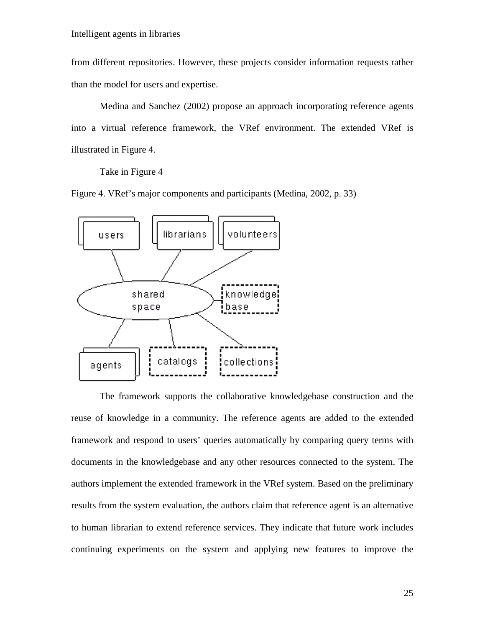from different repositories. However, these projects consider information requests rather than the model for users and expertise.

Medina and Sanchez (2002) propose an approach incorporating reference agents into a virtual reference framework, the VRef environment. The extended VRef is illustrated in Figure 4.

Take in Figure 4

Figure 4. VRef's major components and participants (Medina, 2002, p. 33)



The framework supports the collaborative knowledgebase construction and the reuse of knowledge in a community. The reference agents are added to the extended framework and respond to users' queries automatically by comparing query terms with documents in the knowledgebase and any other resources connected to the system. The authors implement the extended framework in the VRef system. Based on the preliminary results from the system evaluation, the authors claim that reference agent is an alternative to human librarian to extend reference services. They indicate that future work includes continuing experiments on the system and applying new features to improve the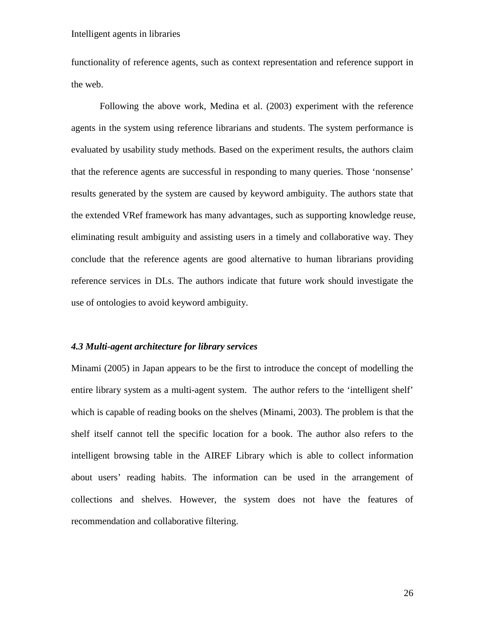functionality of reference agents, such as context representation and reference support in the web.

Following the above work, Medina et al. (2003) experiment with the reference agents in the system using reference librarians and students. The system performance is evaluated by usability study methods. Based on the experiment results, the authors claim that the reference agents are successful in responding to many queries. Those 'nonsense' results generated by the system are caused by keyword ambiguity. The authors state that the extended VRef framework has many advantages, such as supporting knowledge reuse, eliminating result ambiguity and assisting users in a timely and collaborative way. They conclude that the reference agents are good alternative to human librarians providing reference services in DLs. The authors indicate that future work should investigate the use of ontologies to avoid keyword ambiguity.

#### *4.3 Multi-agent architecture for library services*

Minami (2005) in Japan appears to be the first to introduce the concept of modelling the entire library system as a multi-agent system. The author refers to the 'intelligent shelf' which is capable of reading books on the shelves (Minami, 2003). The problem is that the shelf itself cannot tell the specific location for a book. The author also refers to the intelligent browsing table in the AIREF Library which is able to collect information about users' reading habits. The information can be used in the arrangement of collections and shelves. However, the system does not have the features of recommendation and collaborative filtering.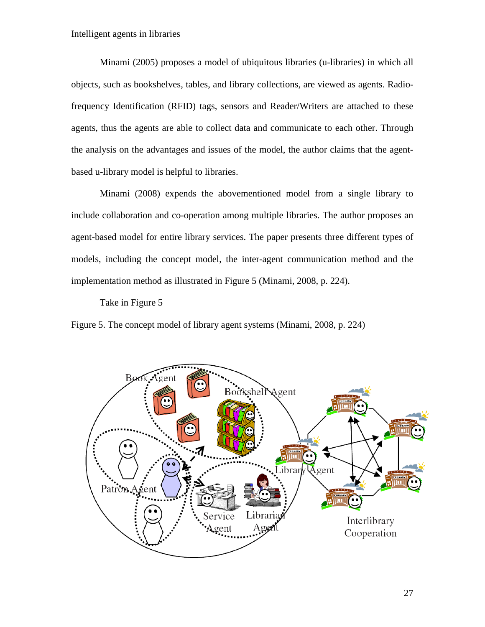Minami (2005) proposes a model of ubiquitous libraries (u-libraries) in which all objects, such as bookshelves, tables, and library collections, are viewed as agents. Radiofrequency Identification (RFID) tags, sensors and Reader/Writers are attached to these agents, thus the agents are able to collect data and communicate to each other. Through the analysis on the advantages and issues of the model, the author claims that the agentbased u-library model is helpful to libraries.

Minami (2008) expends the abovementioned model from a single library to include collaboration and co-operation among multiple libraries. The author proposes an agent-based model for entire library services. The paper presents three different types of models, including the concept model, the inter-agent communication method and the implementation method as illustrated in Figure 5 (Minami, 2008, p. 224).

Take in Figure 5

Figure 5. The concept model of library agent systems (Minami, 2008, p. 224)

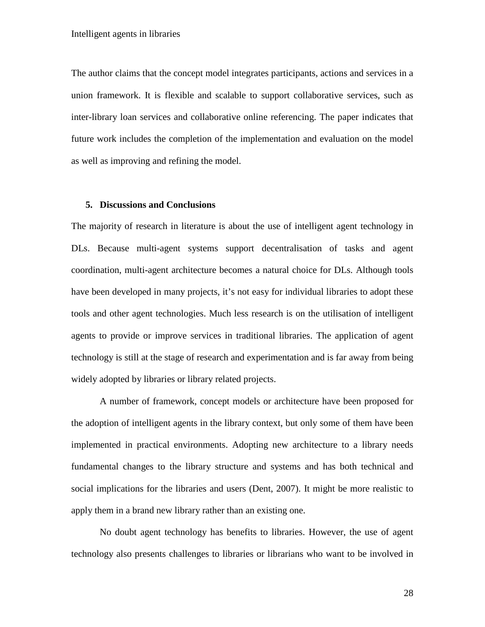The author claims that the concept model integrates participants, actions and services in a union framework. It is flexible and scalable to support collaborative services, such as inter-library loan services and collaborative online referencing. The paper indicates that future work includes the completion of the implementation and evaluation on the model as well as improving and refining the model.

### **5. Discussions and Conclusions**

The majority of research in literature is about the use of intelligent agent technology in DLs. Because multi-agent systems support decentralisation of tasks and agent coordination, multi-agent architecture becomes a natural choice for DLs. Although tools have been developed in many projects, it's not easy for individual libraries to adopt these tools and other agent technologies. Much less research is on the utilisation of intelligent agents to provide or improve services in traditional libraries. The application of agent technology is still at the stage of research and experimentation and is far away from being widely adopted by libraries or library related projects.

A number of framework, concept models or architecture have been proposed for the adoption of intelligent agents in the library context, but only some of them have been implemented in practical environments. Adopting new architecture to a library needs fundamental changes to the library structure and systems and has both technical and social implications for the libraries and users (Dent, 2007). It might be more realistic to apply them in a brand new library rather than an existing one.

No doubt agent technology has benefits to libraries. However, the use of agent technology also presents challenges to libraries or librarians who want to be involved in

28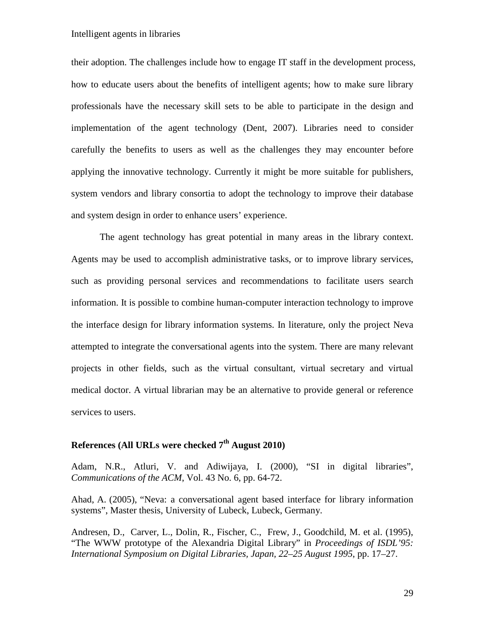their adoption. The challenges include how to engage IT staff in the development process, how to educate users about the benefits of intelligent agents; how to make sure library professionals have the necessary skill sets to be able to participate in the design and implementation of the agent technology (Dent, 2007). Libraries need to consider carefully the benefits to users as well as the challenges they may encounter before applying the innovative technology. Currently it might be more suitable for publishers, system vendors and library consortia to adopt the technology to improve their database and system design in order to enhance users' experience.

The agent technology has great potential in many areas in the library context. Agents may be used to accomplish administrative tasks, or to improve library services, such as providing personal services and recommendations to facilitate users search information. It is possible to combine human-computer interaction technology to improve the interface design for library information systems. In literature, only the project Neva attempted to integrate the conversational agents into the system. There are many relevant projects in other fields, such as the virtual consultant, virtual secretary and virtual medical doctor. A virtual librarian may be an alternative to provide general or reference services to users.

# **References (All URLs were checked 7th August 2010)**

Adam, N.R., Atluri, V. and Adiwijaya, I. (2000), "SI in digital libraries", *Communications of the ACM*, Vol. 43 No. 6, pp. 64-72.

Ahad, A. (2005), "Neva: a conversational agent based interface for library information systems", Master thesis, University of Lubeck, Lubeck, Germany.

Andresen, D., Carver, L., Dolin, R., Fischer, C., Frew, J., Goodchild, M. et al. (1995), "The WWW prototype of the Alexandria Digital Library" in *Proceedings of ISDL'95: International Symposium on Digital Libraries, Japan, 22–25 August 1995*, pp. 17–27.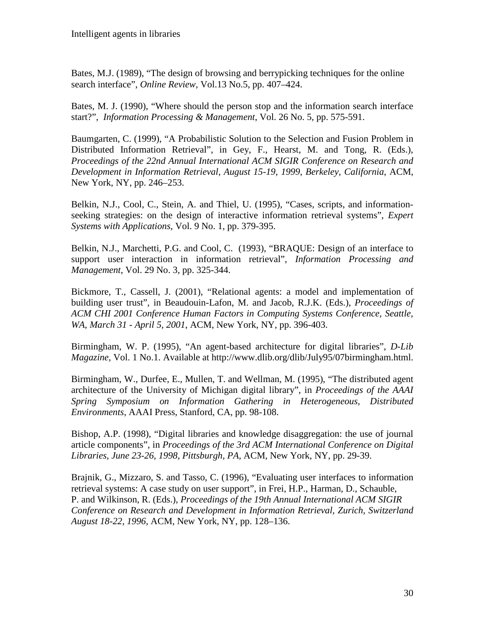Bates, M.J. (1989), "The design of browsing and berrypicking techniques for the online search interface", *Online Review,* Vol.13 No.5, pp. 407–424.

Bates, M. J. (1990), "Where should the person stop and the information search interface start?", *Information Processing & Management*, Vol. 26 No. 5, pp. 575-591.

Baumgarten, C. (1999), "A Probabilistic Solution to the Selection and Fusion Problem in Distributed Information Retrieval", in Gey, F., Hearst, M. and Tong, R. (Eds.), *Proceedings of the 22nd Annual International ACM SIGIR Conference on Research and Development in Information Retrieval, August 15-19, 1999, Berkeley, California*, ACM, New York, NY, pp. 246–253.

Belkin, N.J., Cool, C., Stein, A. and Thiel, U. (1995), "Cases, scripts, and informationseeking strategies: on the design of interactive information retrieval systems", *Expert Systems with Applications*, Vol. 9 No. 1, pp. 379-395.

Belkin, N.J., Marchetti, P.G. and Cool, C. (1993), "BRAQUE: Design of an interface to support user interaction in information retrieval", *Information Processing and Management*, Vol. 29 No. 3, pp. 325-344.

Bickmore, T., Cassell, J. (2001), "Relational agents: a model and implementation of building user trust", in Beaudouin-Lafon, M. and Jacob, R.J.K. (Eds.), *Proceedings of ACM CHI 2001 Conference Human Factors in Computing Systems Conference, Seattle, WA, March 31 - April 5, 2001*, ACM, New York, NY, pp. 396-403.

Birmingham, W. P. (1995), "An agent-based architecture for digital libraries", *D-Lib Magazine,* Vol. 1 No.1. Available at http://www.dlib.org/dlib/July95/07birmingham.html.

Birmingham, W., Durfee, E., Mullen, T. and Wellman, M. (1995), "The distributed agent architecture of the University of Michigan digital library", in *Proceedings of the AAAI Spring Symposium on Information Gathering in Heterogeneous, Distributed Environments*, AAAI Press, Stanford, CA, pp. 98-108.

Bishop, A.P. (1998), "Digital libraries and knowledge disaggregation: the use of journal article components", in *Proceedings of the 3rd ACM International Conference on Digital Libraries, June 23-26, 1998, Pittsburgh, PA,* ACM, New York, NY, pp. 29-39.

Brajnik, G., Mizzaro, S. and Tasso, C. (1996), "Evaluating user interfaces to information retrieval systems: A case study on user support", in Frei, H.P., Harman, D., Schauble, P. and Wilkinson, R. (Eds.), *Proceedings of the 19th Annual International ACM SIGIR Conference on Research and Development in Information Retrieval, Zurich, Switzerland August 18-22, 1996*, ACM, New York, NY, pp. 128–136.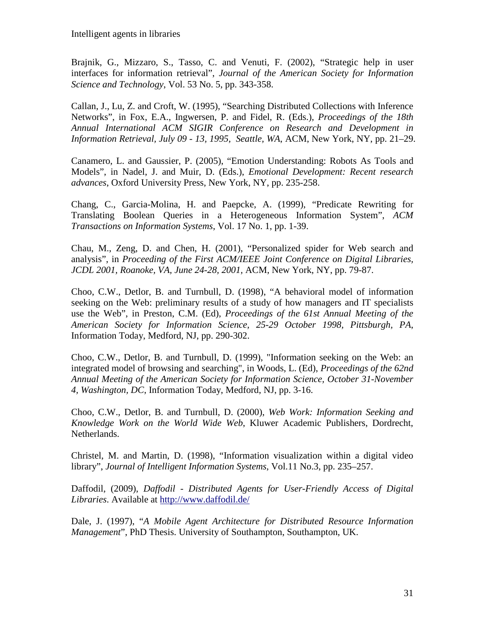Brajnik, G., Mizzaro, S., Tasso, C. and Venuti, F. (2002), "Strategic help in user interfaces for information retrieval", *Journal of the American Society for Information Science and Technology*, Vol. 53 No. 5, pp. 343-358.

Callan, J., Lu, Z. and Croft, W. (1995), "Searching Distributed Collections with Inference Networks", in Fox, E.A., Ingwersen, P. and Fidel, R. (Eds.), *Proceedings of the 18th Annual International ACM SIGIR Conference on Research and Development in Information Retrieval, July 09 - 13, 1995, Seattle, WA*, ACM, New York, NY, pp. 21–29.

Canamero, L. and Gaussier, P. (2005), "Emotion Understanding: Robots As Tools and Models", in Nadel, J. and Muir, D. (Eds.), *Emotional Development: Recent research advances*, Oxford University Press, New York, NY, pp. 235-258.

Chang, C., Garcia-Molina, H. and Paepcke, A. (1999), "Predicate Rewriting for Translating Boolean Queries in a Heterogeneous Information System", *ACM Transactions on Information Systems*, Vol. 17 No. 1, pp. 1-39.

Chau, M., Zeng, D. and Chen, H. (2001), "Personalized spider for Web search and analysis", in *Proceeding of the First ACM/IEEE Joint Conference on Digital Libraries, JCDL 2001, Roanoke, VA, June 24-28, 2001,* ACM, New York, NY, pp. 79-87.

Choo, C.W., Detlor, B. and Turnbull, D. (1998), "A behavioral model of information seeking on the Web: preliminary results of a study of how managers and IT specialists use the Web", in Preston, C.M. (Ed), *Proceedings of the 61st Annual Meeting of the American Society for Information Science, 25-29 October 1998, Pittsburgh, PA*, Information Today, Medford, NJ, pp. 290-302.

Choo, C.W., Detlor, B. and Turnbull, D. (1999), "Information seeking on the Web: an integrated model of browsing and searching", in Woods, L. (Ed), *Proceedings of the 62nd Annual Meeting of the American Society for Information Science, October 31-November 4, Washington, DC*, Information Today, Medford, NJ, pp. 3-16.

Choo, C.W., Detlor, B. and Turnbull, D. (2000), *Web Work: Information Seeking and Knowledge Work on the World Wide Web*, Kluwer Academic Publishers, Dordrecht, Netherlands.

Christel, M. and Martin, D. (1998), "Information visualization within a digital video library", *Journal of Intelligent Information Systems*, Vol.11 No.3, pp. 235–257.

Daffodil, (2009), *Daffodil - Distributed Agents for User-Friendly Access of Digital Libraries*. Available at<http://www.daffodil.de/>

Dale, J. (1997), "*A Mobile Agent Architecture for Distributed Resource Information Management*", PhD Thesis. University of Southampton, Southampton, UK.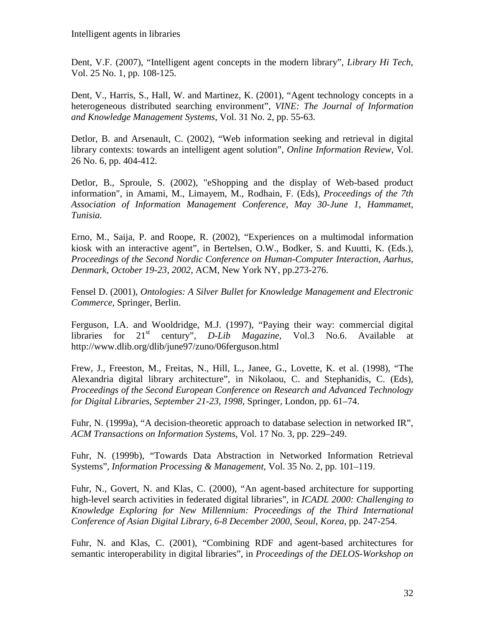Dent, V.F. (2007), "Intelligent agent concepts in the modern library", *Library Hi Tech*, Vol. 25 No. 1, pp. 108-125.

Dent, V., Harris, S., Hall, W. and Martinez, K. (2001), "Agent technology concepts in a heterogeneous distributed searching environment", *VINE: The Journal of Information and Knowledge Management Systems*, Vol. 31 No. 2, pp. 55-63.

Detlor, B. and Arsenault, C. (2002), "Web information seeking and retrieval in digital library contexts: towards an intelligent agent solution", *Online Information Review*, Vol. 26 No. 6, pp. 404-412.

Detlor, B., Sproule, S. (2002), "eShopping and the display of Web-based product information", in Amami, M., Limayem, M., Rodhain, F. (Eds), *Proceedings of the 7th Association of Information Management Conference, May 30-June 1*, *Hammamet, Tunisia.*

Erno, M., Saija, P. and Roope, R. (2002), "Experiences on a multimodal information kiosk with an interactive agent", in Bertelsen, O.W., Bodker, S. and Kuutti, K. (Eds.), *Proceedings of the Second Nordic Conference on Human-Computer Interaction, Aarhus, Denmark, October 19-23, 2002,* ACM, New York NY, pp.273-276.

Fensel D. (2001), *Ontologies: A Silver Bullet for Knowledge Management and Electronic Commerce,* Springer, Berlin.

Ferguson, I.A. and Wooldridge, M.J. (1997), "Paying their way: commercial digital libraries for 21st century", *D-Lib Magazine,* Vol.3 No.6. Available at http://www.dlib.org/dlib/june97/zuno/06ferguson.html

Frew, J., Freeston, M., Freitas, N., Hill, L., Janee, G., Lovette, K. et al. (1998), "The Alexandria digital library architecture", in Nikolaou, C. and Stephanidis, C. (Eds), *Proceedings of the Second European Conference on Research and Advanced Technology for Digital Libraries, September 21-23, 1998*, Springer, London, pp. 61–74.

Fuhr, N. (1999a), "A decision-theoretic approach to database selection in networked IR", *ACM Transactions on Information Systems*, Vol. 17 No. 3, pp. 229–249.

Fuhr, N. (1999b), "Towards Data Abstraction in Networked Information Retrieval Systems", *Information Processing & Management*, Vol. 35 No. 2, pp. 101–119.

Fuhr, N., Govert, N. and Klas, C. (2000), "An agent-based architecture for supporting high-level search activities in federated digital libraries", in *ICADL 2000: Challenging to Knowledge Exploring for New Millennium: Proceedings of the Third International Conference of Asian Digital Library, 6-8 December 2000, Seoul, Korea*, pp. 247-254.

Fuhr, N. and Klas, C. (2001), "Combining RDF and agent-based architectures for semantic interoperability in digital libraries", in *Proceedings of the DELOS-Workshop on*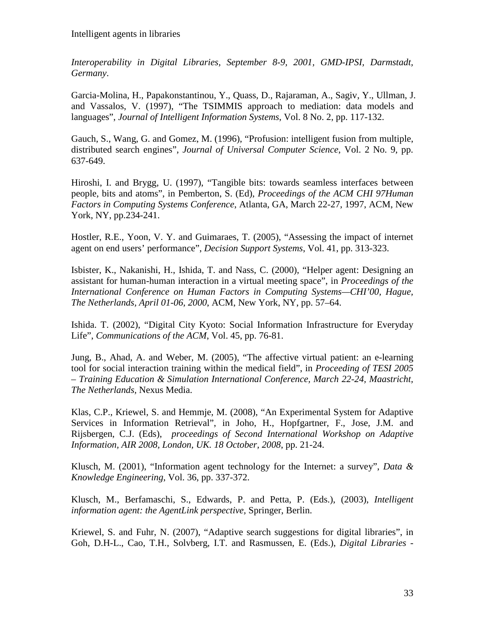*Interoperability in Digital Libraries, September 8-9, 2001, GMD-IPSI, Darmstadt, Germany*.

Garcia-Molina, H., Papakonstantinou, Y., Quass, D., Rajaraman, A., Sagiv, Y., Ullman, J. and Vassalos, V. (1997), "The TSIMMIS approach to mediation: data models and languages", *Journal of Intelligent Information Systems*, Vol. 8 No. 2, pp. 117-132.

Gauch, S., Wang, G. and Gomez, M. (1996), "Profusion: intelligent fusion from multiple, distributed search engines", *Journal of Universal Computer Science*, Vol. 2 No. 9, pp. 637-649.

Hiroshi, I. and Brygg, U. (1997), "Tangible bits: towards seamless interfaces between people, bits and atoms", in Pemberton, S. (Ed), *Proceedings of the ACM CHI 97Human Factors in Computing Systems Conference*, Atlanta, GA, March 22-27, 1997, ACM, New York, NY, pp.234-241.

Hostler, R.E., Yoon, V. Y. and Guimaraes, T. (2005), "Assessing the impact of internet agent on end users' performance", *Decision Support Systems*, Vol. 41, pp. 313-323.

Isbister, K., Nakanishi, H., Ishida, T. and Nass, C. (2000), "Helper agent: Designing an assistant for human-human interaction in a virtual meeting space", in *Proceedings of the International Conference on Human Factors in Computing Systems—CHI'00, Hague, The Netherlands, April 01-06, 2000*, ACM, New York, NY, pp. 57–64.

Ishida. T. (2002), "Digital City Kyoto: Social Information Infrastructure for Everyday Life", *Communications of the ACM*, Vol. 45, pp. 76-81.

Jung, B., Ahad, A. and Weber, M. (2005), "The affective virtual patient: an e-learning tool for social interaction training within the medical field", in *Proceeding of TESI 2005 – Training Education & Simulation International Conference, March 22-24, Maastricht, The Netherlands,* Nexus Media.

Klas, C.P., Kriewel, S. and Hemmje, M. (2008), ["An Experimental System for Adaptive](http://www.dcs.gla.ac.uk/workshops/air2008/proceedings.pdf#page=31)  [Services in Information Retrieval"](http://www.dcs.gla.ac.uk/workshops/air2008/proceedings.pdf#page=31), in Joho, H., Hopfgartner, F., Jose, J.M. and Rijsbergen, C.J. (Eds), *proceedings of Second International Workshop on Adaptive Information, AIR 2008, London, UK. 18 October, 2008*, pp. 21-24.

Klusch, M. (2001), "Information agent technology for the Internet: a survey", *Data & Knowledge Engineering*, Vol. 36, pp. 337-372.

Klusch, M., Berfamaschi, S., Edwards, P. and Petta, P. (Eds.), (2003), *Intelligent information agent: the AgentLink perspective,* Springer, Berlin.

Kriewel, S. and Fuhr, N. (2007), "Adaptive search suggestions for digital libraries", in Goh, D.H-L., Cao, T.H., Solvberg, I.T. and Rasmussen, E. (Eds.), *Digital Libraries -*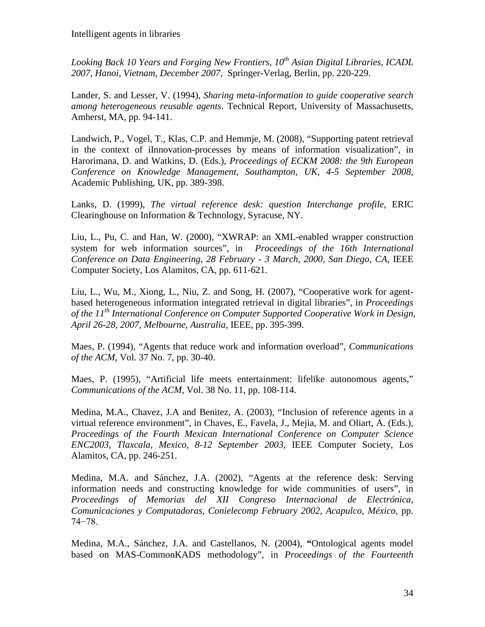*Looking Back 10 Years and Forging New Frontiers, 10th Asian Digital Libraries, ICADL 2007, Hanoi, Vietnam, December 2007,* Springer-Verlag, Berlin, pp. 220-229.

Lander, S. and Lesser, V. (1994), *Sharing meta-information to guide cooperative search among heterogeneous reusable agents*. Technical Report, University of Massachusetts, Amherst, MA, pp. 94-141.

Landwich, P., Vogel, T., Klas, C.P. and Hemmje, M. (2008), "Supporting patent retrieval in the context of iInnovation-processes by means of information visualization", in Harorimana, D. and Watkins, D. (Eds.), *Proceedings of ECKM 2008: the 9th European Conference on Knowledge Management, Southampton, UK, 4-5 September 2008*, Academic Publishing, UK, pp. 389-398.

Lanks, D. (1999), *The virtual reference desk: question Interchange profile*, ERIC Clearinghouse on Information & Technology, Syracuse, NY.

Liu, L., Pu, C. and Han, W. (2000), "XWRAP: an XML-enabled wrapper construction system for web information sources", in *Proceedings of the 16th International Conference on Data Engineering, 28 February - 3 March, 2000, San Diego, CA*, IEEE Computer Society, Los Alamitos, CA, pp. 611-621.

Liu, L., Wu, M., Xiong, L., Niu, Z. and Song, H. (2007), "Cooperative work for agentbased heterogeneous information integrated retrieval in digital libraries", in *Proceedings of the 11th International Conference on Computer Supported Cooperative Work in Design, April 26-28, 2007, Melbourne, Australia*, IEEE, pp. 395-399.

Maes, P. (1994), "Agents that reduce work and information overload", *Communications of the ACM*, Vol. 37 No. 7, pp. 30-40.

Maes, P. (1995), "Artificial life meets entertainment: lifelike autonomous agents," *Communications of the ACM*, Vol. 38 No. 11, pp. 108-114.

Medina, M.A., Chavez, J.A and Benitez, A. (2003), "Inclusion of reference agents in a virtual reference environment", in Chaves, E., Favela, J., Mejia, M. and Oliart, A. (Eds.), *Proceedings of the Fourth Mexican International Conference on Computer Science ENC2003*, *Tlaxcala, Mexico, 8-12 September 2003*, IEEE Computer Society, Los Alamitos, CA, pp. 246-251.

Medina, M.A. and Sánchez, J.A. (2002), "Agents at the reference desk: Serving information needs and constructing knowledge for wide communities of users", in *Proceedings of Memorias del XII Congreso Internacional de Electrónica, Comunicaciones y Computadoras, Conielecomp February 2002, Acapulco, México*, pp. 74−78.

Medina, M.A., Sánchez, J.A. and Castellanos, N. (2004), **"**Ontological agents model based on MAS-CommonKADS methodology", in *Proceedings of the Fourteenth*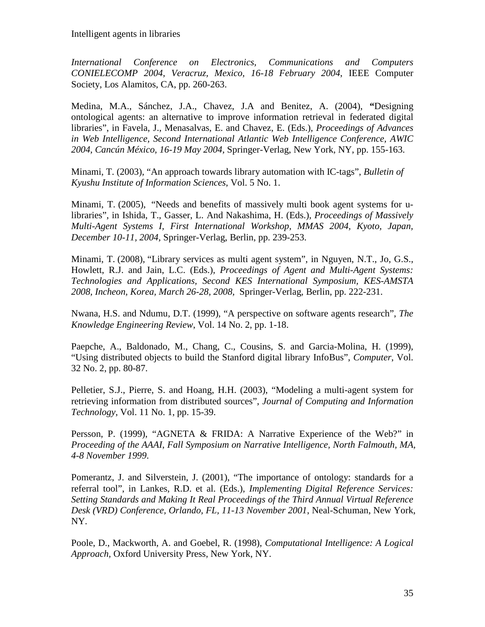*International Conference on Electronics, Communications and Computers CONIELECOMP 2004, Veracruz, Mexico, 16-18 February 2004*, IEEE Computer Society, Los Alamitos, CA, pp. 260-263.

Medina, M.A., Sánchez, J.A., Chavez, J.A and Benitez, A. (2004), **"**Designing ontological agents: an alternative to improve information retrieval in federated digital libraries", in Favela, J., Menasalvas, E. and Chavez, E. (Eds.), *Proceedings of Advances in Web Intelligence, Second International Atlantic Web Intelligence Conference, AWIC 2004, Cancún México, 16-19 May 2004,* Springer-Verlag, New York, NY, pp. 155-163.

Minami, T. (2003), "An approach towards library automation with IC-tags", *Bulletin of Kyushu Institute of Information Sciences*, Vol. 5 No. 1.

Minami, T. (2005), "Needs and benefits of massively multi book agent systems for ulibraries", in Ishida, T., Gasser, L. And Nakashima, H. (Eds.), *Proceedings of Massively Multi-Agent Systems I, First International Workshop, MMAS 2004, Kyoto, Japan, December 10-11, 2004,* Springer-Verlag, Berlin, pp. 239-253.

Minami, T. (2008), "Library services as multi agent system", in Nguyen, N.T., Jo, G.S., Howlett, R.J. and Jain, L.C. (Eds.), *Proceedings of Agent and Multi-Agent Systems: Technologies and Applications, Second KES International Symposium, KES-AMSTA 2008, Incheon, Korea, March 26-28, 2008,* Springer-Verlag, Berlin, pp. 222-231.

Nwana, H.S. and Ndumu, D.T. (1999), "A perspective on software agents research", *The Knowledge Engineering Review*, Vol. 14 No. 2, pp. 1-18.

Paepche, A., Baldonado, M., Chang, C., Cousins, S. and Garcia-Molina, H. (1999), "Using distributed objects to build the Stanford digital library InfoBus", *Computer*, Vol. 32 No. 2, pp. 80-87.

Pelletier, S.J., Pierre, S. and Hoang, H.H. (2003), "Modeling a multi-agent system for retrieving information from distributed sources", *Journal of Computing and Information Technology*, Vol. 11 No. 1, pp. 15-39.

Persson, P. (1999), "AGNETA & FRIDA: A Narrative Experience of the Web?" in *Proceeding of the AAAI*, *Fall Symposium on Narrative Intelligence, North Falmouth, MA, 4-8 November 1999*.

Pomerantz, J. and Silverstein, J. (2001), "The importance of ontology: standards for a referral tool", in Lankes, R.D. et al. (Eds.), *Implementing Digital Reference Services: Setting Standards and Making It Real Proceedings of the Third Annual Virtual Reference Desk (VRD) Conference, Orlando, FL, 11-13 November 2001*, Neal-Schuman, New York, NY.

Poole, D., Mackworth, A. and Goebel, R. (1998), *Computational Intelligence: A Logical Approach,* Oxford University Press, New York, NY.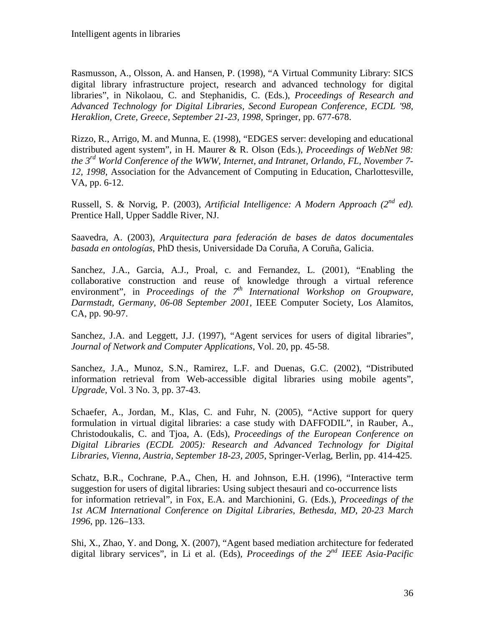Rasmusson, A., Olsson, A. and Hansen, P. (1998), "A Virtual Community Library: SICS digital library infrastructure project, research and advanced technology for digital libraries", in Nikolaou, C. and Stephanidis, C. (Eds.), *Proceedings of Research and Advanced Technology for Digital Libraries, Second European Conference, ECDL '98, Heraklion, Crete, Greece, September 21-23, 1998,* Springer, pp. 677-678.

Rizzo, R., Arrigo, M. and Munna, E. (1998), "EDGES server: developing and educational distributed agent system", in H. Maurer & R. Olson (Eds.), *Proceedings of WebNet 98: the 3rd World Conference of the WWW, Internet, and Intranet, Orlando, FL, November 7- 12, 1998*, Association for the Advancement of Computing in Education, Charlottesville, VA, pp. 6-12.

Russell, S. & Norvig, P. (2003), *Artificial Intelligence: A Modern Approach (2nd ed).* Prentice Hall, Upper Saddle River, NJ.

Saavedra, A. (2003), *Arquitectura para federación de bases de datos documentales basada en ontologías*, PhD thesis, Universidade Da Coruña, A Coruña, Galicia.

Sanchez, J.A., Garcia, A.J., Proal, c. and Fernandez, L. (2001), "Enabling the collaborative construction and reuse of knowledge through a virtual reference environment", in *Proceedings of the 7th International Workshop on Groupware, Darmstadt, Germany, 06-08 September 2001*, IEEE Computer Society, Los Alamitos, CA, pp. 90-97.

Sanchez, J.A. and Leggett, J.J. (1997), "Agent services for users of digital libraries", *Journal of Network and Computer Applications*, Vol. 20, pp. 45-58.

Sanchez, J.A., Munoz, S.N., Ramirez, L.F. and Duenas, G.C. (2002), "Distributed information retrieval from Web-accessible digital libraries using mobile agents", *Upgrade*, Vol. 3 No. 3, pp. 37-43.

Schaefer, A., Jordan, M., Klas, C. and Fuhr, N. (2005), "Active support for query formulation in virtual digital libraries: a case study with DAFFODIL", in Rauber, A., Christodoukalis, C. and Tjoa, A. (Eds), *Proceedings of the European Conference on Digital Libraries (ECDL 2005): Research and Advanced Technology for Digital Libraries, Vienna, Austria, September 18-23, 2005*, Springer-Verlag, Berlin, pp. 414-425.

Schatz, B.R., Cochrane, P.A., Chen, H. and Johnson, E.H. (1996), "Interactive term suggestion for users of digital libraries: Using subject thesauri and co-occurrence lists for information retrieval", in Fox, E.A. and Marchionini, G. (Eds.), *Proceedings of the 1st ACM International Conference on Digital Libraries*, *Bethesda, MD, 20-23 March 1996*, pp. 126–133.

Shi, X., Zhao, Y. and Dong, X. (2007), "Agent based mediation architecture for federated digital library services", in Li et al. (Eds), *Proceedings of the 2nd IEEE Asia-Pacific*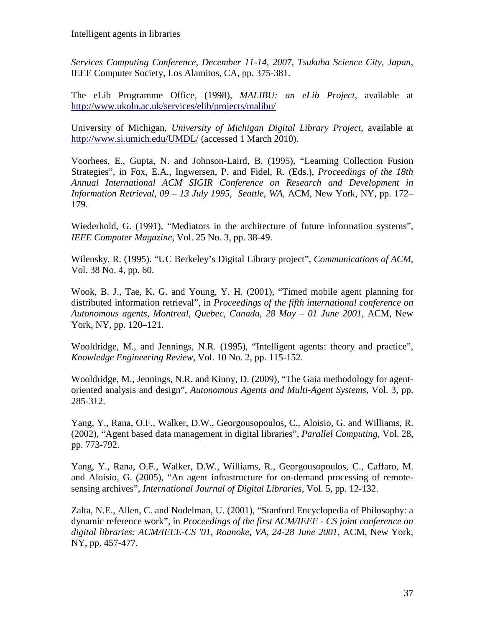*Services Computing Conference, December 11-14, 2007, Tsukuba Science City, Japan*, IEEE Computer Society, Los Alamitos, CA, pp. 375-381.

The eLib Programme Office, (1998), *MALIBU: an eLib Project*, available at <http://www.ukoln.ac.uk/services/elib/projects/malibu/>

University of Michigan, *University of Michigan Digital Library Project*, available at <http://www.si.umich.edu/UMDL/> (accessed 1 March 2010).

Voorhees, E., Gupta, N. and Johnson-Laird, B. (1995), "Learning Collection Fusion Strategies", in Fox, E.A., Ingwersen, P. and Fidel, R. (Eds.), *Proceedings of the 18th Annual International ACM SIGIR Conference on Research and Development in Information Retrieval, 09 – 13 July 1995, Seattle, WA*, ACM, New York, NY, pp. 172– 179.

Wiederhold, G. (1991), "Mediators in the architecture of future information systems", *IEEE Computer Magazine*, Vol. 25 No. 3, pp. 38-49.

Wilensky, R. (1995). "UC Berkeley's Digital Library project", *Communications of ACM*, Vol. 38 No. 4, pp. 60.

Wook, B. J., Tae, K. G. and Young, Y. H. (2001), "Timed mobile agent planning for distributed information retrieval", in *Proceedings of the fifth international conference on Autonomous agents, Montreal, Quebec, Canada, 28 May – 01 June 2001*, ACM, New York, NY, pp. 120–121.

Wooldridge, M., and Jennings, N.R. (1995), "Intelligent agents: theory and practice", *Knowledge Engineering Review,* Vol. 10 No. 2, pp. 115-152.

Wooldridge, M., Jennings, N.R. and Kinny, D. (2009), "The Gaia methodology for agentoriented analysis and design", *Autonomous Agents and Multi-Agent Systems,* Vol. 3, pp. 285-312.

Yang, Y., Rana, O.F., Walker, D.W., Georgousopoulos, C., Aloisio, G. and Williams, R. (2002), "Agent based data management in digital libraries", *Parallel Computing*, Vol. 28, pp. 773-792.

Yang, Y., Rana, O.F., Walker, D.W., Williams, R., Georgousopoulos, C., Caffaro, M. and Aloisio, G. (2005), "An agent infrastructure for on-demand processing of remotesensing archives", *International Journal of Digital Libraries*, Vol. 5, pp. 12-132.

Zalta, N.E., Allen, C. and Nodelman, U. (2001), "Stanford Encyclopedia of Philosophy: a dynamic reference work", in *Proceedings of the first ACM/IEEE - CS joint conference on digital libraries: ACM/IEEE-CS '01, Roanoke, VA, 24-28 June 2001*, ACM, New York, NY, pp. 457-477.